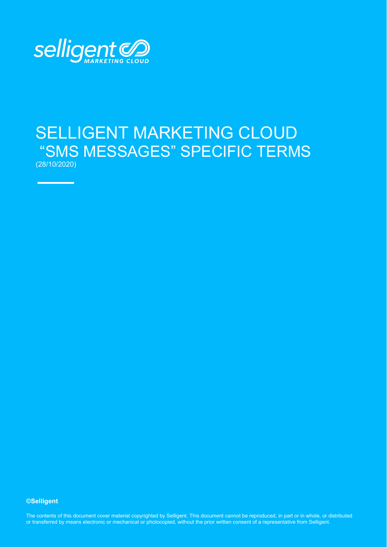

# SELLIGENT MARKETING CLOUD "SMS MESSAGES" SPECIFIC TERMS (28/10/2020)

**©Selligent** 

The contents of this document cover material copyrighted by Selligent. This document cannot be reproduced, in part or in whole, or distributed or transferred by means electronic or mechanical or photocopied, without the prior written consent of a representative from Selligent.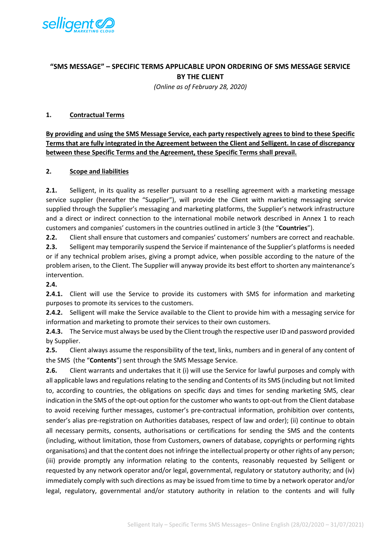

## **"SMS MESSAGE" – SPECIFIC TERMS APPLICABLE UPON ORDERING OF SMS MESSAGE SERVICE BY THE CLIENT**

*(Online as of February 28, 2020)*

#### **1. Contractual Terms**

**By providing and using the SMS Message Service, each party respectively agrees to bind to these Specific Terms that are fully integrated in the Agreement between the Client and Selligent. In case of discrepancy between these Specific Terms and the Agreement, these Specific Terms shall prevail.** 

#### **2. Scope and liabilities**

**2.1.** Selligent, in its quality as reseller pursuant to a reselling agreement with a marketing message service supplier (hereafter the "Supplier"), will provide the Client with marketing messaging service supplied through the Supplier's messaging and marketing platforms, the Supplier's network infrastructure and a direct or indirect connection to the international mobile network described in Annex 1 to reach customers and companies' customers in the countries outlined in article 3 (the "**Countries**").

**2.2.** Client shall ensure that customers and companies' customers' numbers are correct and reachable. **2.3.** Selligent may temporarily suspend the Service if maintenance of the Supplier's platforms is needed or if any technical problem arises, giving a prompt advice, when possible according to the nature of the problem arisen, to the Client. The Supplier will anyway provide its best effort to shorten any maintenance's intervention.

## **2.4.**

**2.4.1.** Client will use the Service to provide its customers with SMS for information and marketing purposes to promote its services to the customers.

**2.4.2.** Selligent will make the Service available to the Client to provide him with a messaging service for information and marketing to promote their services to their own customers.

**2.4.3.** The Service must always be used by the Client trough the respective user ID and password provided by Supplier.

**2.5.** Client always assume the responsibility of the text, links, numbers and in general of any content of the SMS (the "**Contents**") sent through the SMS Message Service.

**2.6.** Client warrants and undertakes that it (i) will use the Service for lawful purposes and comply with all applicable laws and regulations relating to the sending and Contents of its SMS (including but not limited to, according to countries, the obligations on specific days and times for sending marketing SMS, clear indication in the SMS of the opt-out option for the customer who wants to opt-out from the Client database to avoid receiving further messages, customer's pre-contractual information, prohibition over contents, sender's alias pre-registration on Authorities databases, respect of law and order); (ii) continue to obtain all necessary permits, consents, authorisations or certifications for sending the SMS and the contents (including, without limitation, those from Customers, owners of database, copyrights or performing rights organisations) and that the content does not infringe the intellectual property or other rights of any person; (iii) provide promptly any information relating to the contents, reasonably requested by Selligent or requested by any network operator and/or legal, governmental, regulatory or statutory authority; and (iv) immediately comply with such directions as may be issued from time to time by a network operator and/or legal, regulatory, governmental and/or statutory authority in relation to the contents and will fully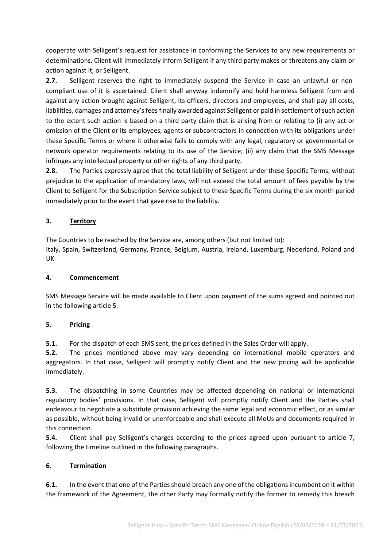cooperate with Selligent's request for assistance in conforming the Services to any new requirements or determinations. Client will immediately inform Selligent if any third party makes or threatens any claim or action against it, or Selligent.

**2.7.** Selligent reserves the right to immediately suspend the Service in case an unlawful or noncompliant use of it is ascertained. Client shall anyway indemnify and hold harmless Selligent from and against any action brought against Selligent, its officers, directors and employees, and shall pay all costs, liabilities, damages and attorney's fees finally awarded against Selligent or paid in settlement of such action to the extent such action is based on a third party claim that is arising from or relating to (i) any act or omission of the Client or its employees, agents or subcontractors in connection with its obligations under these Specific Terms or where it otherwise fails to comply with any legal, regulatory or governmental or network operator requirements relating to its use of the Service; (ii) any claim that the SMS Message infringes any intellectual property or other rights of any third party.

**2.8.** The Parties expressly agree that the total liability of Selligent under these Specific Terms, without prejudice to the application of mandatory laws, will not exceed the total amount of fees payable by the Client to Selligent for the Subscription Service subject to these Specific Terms during the six month period immediately prior to the event that gave rise to the liability.

## **3. Territory**

The Countries to be reached by the Service are, among others (but not limited to): Italy, Spain, Switzerland, Germany, France, Belgium, Austria, Ireland, Luxemburg, Nederland, Poland and UK

## **4. Commencement**

SMS Message Service will be made available to Client upon payment of the sums agreed and pointed out in the following article 5.

## **5. Pricing**

**5.1.** For the dispatch of each SMS sent, the prices defined in the Sales Order will apply.

**5.2.** The prices mentioned above may vary depending on international mobile operators and aggregators. In that case, Selligent will promptly notify Client and the new pricing will be applicable immediately.

**5.3.** The dispatching in some Countries may be affected depending on national or international regulatory bodies' provisions. In that case, Selligent will promptly notify Client and the Parties shall endeavour to negotiate a substitute provision achieving the same legal and economic effect, or as similar as possible, without being invalid or unenforceable and shall execute all MoUs and documents required in this connection.

**5.4.** Client shall pay Selligent's charges according to the prices agreed upon pursuant to article 7, following the timeline outlined in the following paragraphs.

## **6. Termination**

**6.1.** In the event that one of the Parties should breach any one of the obligations incumbent on it within the framework of the Agreement, the other Party may formally notify the former to remedy this breach